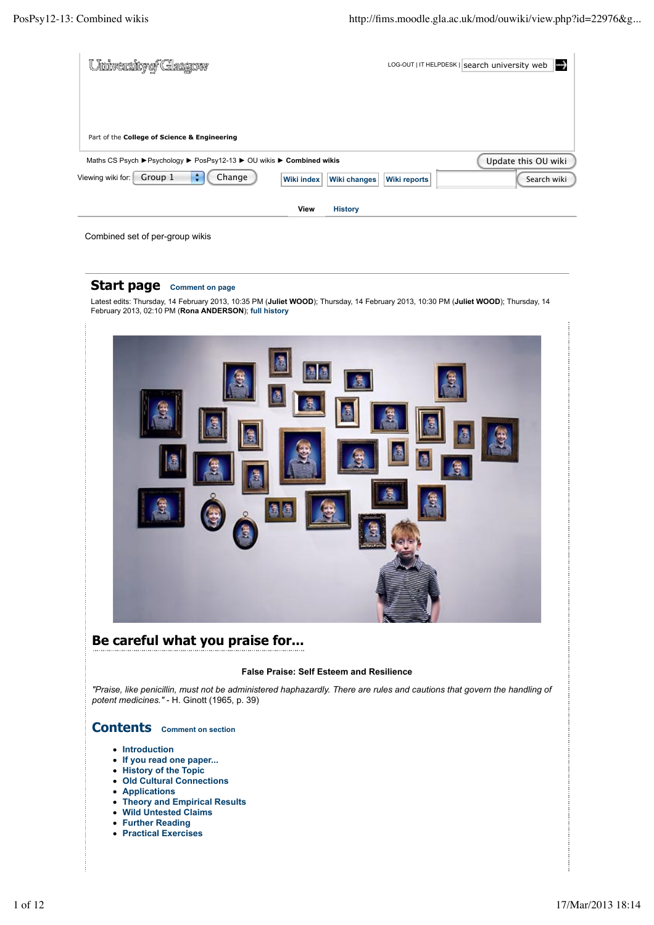| University of Glasgow                                                            |                     | LOG-OUT   IT HELPDESK   search university web |
|----------------------------------------------------------------------------------|---------------------|-----------------------------------------------|
|                                                                                  |                     |                                               |
|                                                                                  |                     |                                               |
| Part of the College of Science & Engineering                                     |                     |                                               |
| Maths CS Psych ▶ Psychology ▶ PosPsy12-13 ▶ OU wikis ▶ Combined wikis            |                     | Update this OU wiki                           |
| Change<br>÷<br>Group 1<br>Viewing wiki for:<br>Wiki index<br><b>Wiki changes</b> | <b>Wiki reports</b> | Search wiki                                   |
| View<br><b>History</b>                                                           |                     |                                               |

Combined set of per-group wikis

### **Start page Comment on page**

Latest edits: Thursday, 14 February 2013, 10:35 PM (**Juliet WOOD**); Thursday, 14 February 2013, 10:30 PM (**Juliet WOOD**); Thursday, 14 February 2013, 02:10 PM (**Rona ANDERSON**); **full history**



# **Be careful what you praise for...**

#### **False Praise: Self Esteem and Resilience**

*"Praise, like penicillin, must not be administered haphazardly. There are rules and cautions that govern the handling of potent medicines."* - H. Ginott (1965, p. 39)

# **Contents Comment on section**

- **•** Introduction
- **If you read one paper...**
- **History of the Topic**
- **Old Cultural Connections**
- **Applications**
- **Theory and Empirical Results**
- **Wild Untested Claims Further Reading**
- **Practical Exercises**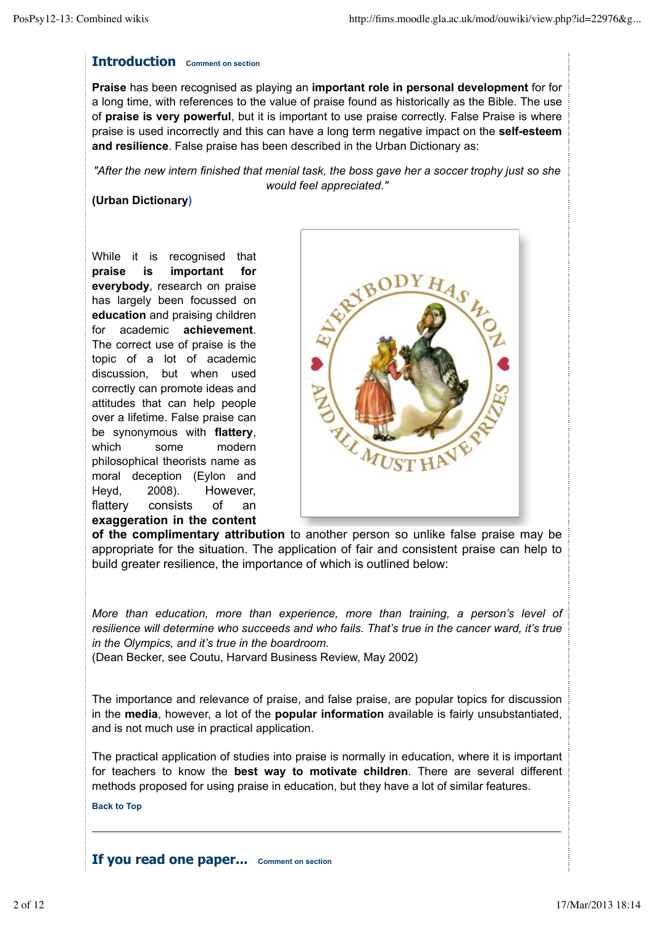### **Introduction Comment on section**

**Praise** has been recognised as playing an **important role in personal development** for for a long time, with references to the value of praise found as historically as the Bible. The use of **praise is very powerful**, but it is important to use praise correctly. False Praise is where praise is used incorrectly and this can have a long term negative impact on the **self-esteem and resilience**. False praise has been described in the Urban Dictionary as:

*"After the new intern finished that menial task, the boss gave her a soccer trophy just so she would feel appreciated."*

### **(Urban Dictionary)**

While it is recognised that **praise is important for everybody**, research on praise has largely been focussed on **education** and praising children for academic **achievement**. The correct use of praise is the topic of a lot of academic discussion, but when used correctly can promote ideas and attitudes that can help people over a lifetime. False praise can be synonymous with **flattery**, which some modern philosophical theorists name as moral deception (Eylon and Heyd, 2008). However, flattery consists of an **exaggeration in the content**



**of the complimentary attribution** to another person so unlike false praise may be appropriate for the situation. The application of fair and consistent praise can help to build greater resilience, the importance of which is outlined below:

*More than education, more than experience, more than training, a person's level of resilience will determine who succeeds and who fails. That's true in the cancer ward, it's true in the Olympics, and it's true in the boardroom.*

(Dean Becker, see Coutu, Harvard Business Review, May 2002)

The importance and relevance of praise, and false praise, are popular topics for discussion in the **media**, however, a lot of the **popular information** available is fairly unsubstantiated, and is not much use in practical application.

The practical application of studies into praise is normally in education, where it is important for teachers to know the **best way to motivate children**. There are several different methods proposed for using praise in education, but they have a lot of similar features.

**Back to Top**

**If you read one paper... Comment on section**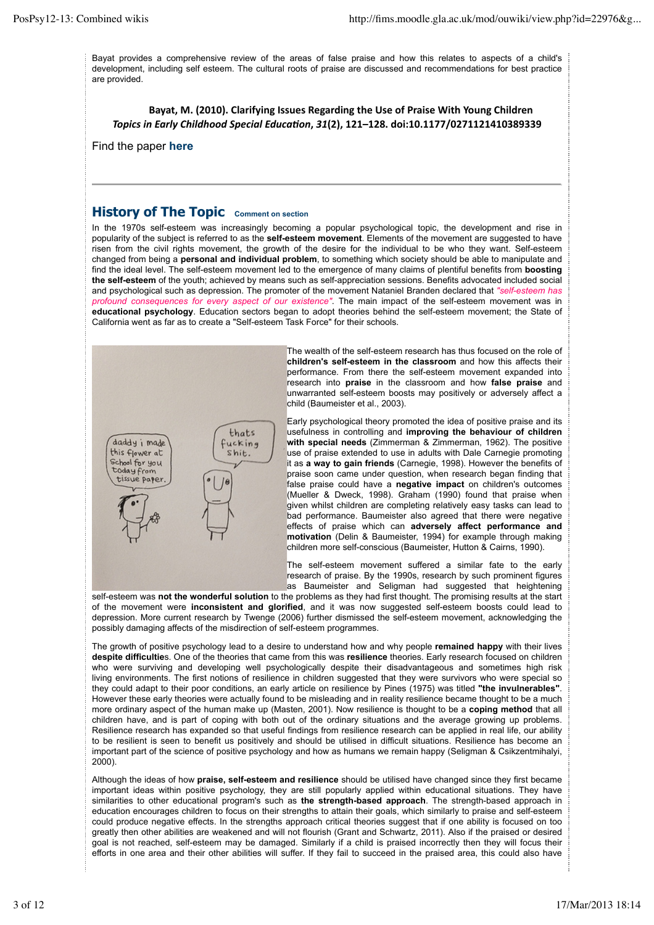Bayat provides a comprehensive review of the areas of false praise and how this relates to aspects of a child's development, including self esteem. The cultural roots of praise are discussed and recommendations for best practice are provided.

Bayat, M. (2010). Clarifying Issues Regarding the Use of Praise With Young Children *Topics'in'Early'Childhood'Special'Educa4on***,!***31***(2),!121–128.!doi:10.1177/0271121410389339**

Find the paper **here**

### **History of The Topic Comment on section**

In the 1970s self-esteem was increasingly becoming a popular psychological topic, the development and rise in popularity of the subject is referred to as the **self-esteem movement**. Elements of the movement are suggested to have risen from the civil rights movement, the growth of the desire for the individual to be who they want. Self-esteem changed from being a **personal and individual problem**, to something which society should be able to manipulate and find the ideal level. The self-esteem movement led to the emergence of many claims of plentiful benefits from **boosting the self-esteem** of the youth; achieved by means such as self-appreciation sessions. Benefits advocated included social and psychological such as depression. The promoter of the movement Nataniel Branden declared that *"self-esteem has profound consequences for every aspect of our existence"*. The main impact of the self-esteem movement was in **educational psychology**. Education sectors began to adopt theories behind the self-esteem movement; the State of California went as far as to create a "Self-esteem Task Force" for their schools.



The wealth of the self-esteem research has thus focused on the role of **children's self-esteem in the classroom** and how this affects their performance. From there the self-esteem movement expanded into research into **praise** in the classroom and how **false praise** and unwarranted self-esteem boosts may positively or adversely affect a child (Baumeister et al., 2003).

Early psychological theory promoted the idea of positive praise and its usefulness in controlling and **improving the behaviour of children with special needs** (Zimmerman & Zimmerman, 1962). The positive use of praise extended to use in adults with Dale Carnegie promoting it as **a way to gain friends** (Carnegie, 1998). However the benefits of praise soon came under question, when research began finding that false praise could have a **negative impact** on children's outcomes (Mueller & Dweck, 1998). Graham (1990) found that praise when given whilst children are completing relatively easy tasks can lead to bad performance. Baumeister also agreed that there were negative effects of praise which can **adversely affect performance and motivation** (Delin & Baumeister, 1994) for example through making children more self-conscious (Baumeister, Hutton & Cairns, 1990).

The self-esteem movement suffered a similar fate to the early research of praise. By the 1990s, research by such prominent figures as Baumeister and Seligman had suggested that heightening

self-esteem was **not the wonderful solution** to the problems as they had first thought. The promising results at the start of the movement were **inconsistent and glorified**, and it was now suggested self-esteem boosts could lead to depression. More current research by Twenge (2006) further dismissed the self-esteem movement, acknowledging the possibly damaging affects of the misdirection of self-esteem programmes.

The growth of positive psychology lead to a desire to understand how and why people **remained happy** with their lives **despite difficultie**s. One of the theories that came from this was **resilience** theories. Early research focused on children who were surviving and developing well psychologically despite their disadvantageous and sometimes high risk living environments. The first notions of resilience in children suggested that they were survivors who were special so they could adapt to their poor conditions, an early article on resilience by Pines (1975) was titled **"the invulnerables"**. However these early theories were actually found to be misleading and in reality resilience became thought to be a much more ordinary aspect of the human make up (Masten, 2001). Now resilience is thought to be a **coping method** that all children have, and is part of coping with both out of the ordinary situations and the average growing up problems. Resilience research has expanded so that useful findings from resilience research can be applied in real life, our ability to be resilient is seen to benefit us positively and should be utilised in difficult situations. Resilience has become an important part of the science of positive psychology and how as humans we remain happy (Seligman & Csikzentmihalyi, 2000).

Although the ideas of how **praise, self-esteem and resilience** should be utilised have changed since they first became important ideas within positive psychology, they are still popularly applied within educational situations. They have similarities to other educational program's such as **the strength-based approach**. The strength-based approach in education encourages children to focus on their strengths to attain their goals, which similarly to praise and self-esteem could produce negative effects. In the strengths approach critical theories suggest that if one ability is focused on too greatly then other abilities are weakened and will not flourish (Grant and Schwartz, 2011). Also if the praised or desired goal is not reached, self-esteem may be damaged. Similarly if a child is praised incorrectly then they will focus their efforts in one area and their other abilities will suffer. If they fail to succeed in the praised area, this could also have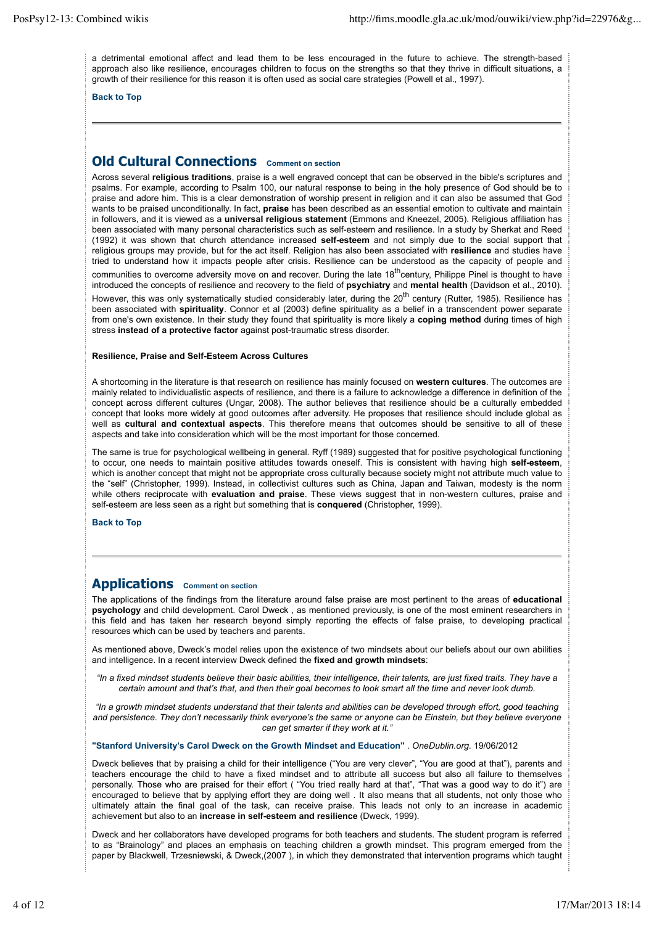a detrimental emotional affect and lead them to be less encouraged in the future to achieve. The strength-based approach also like resilience, encourages children to focus on the strengths so that they thrive in difficult situations, a growth of their resilience for this reason it is often used as social care strategies (Powell et al., 1997).

**Back to Top**

# **Old Cultural Connections Comment on section**

Across several **religious traditions**, praise is a well engraved concept that can be observed in the bible's scriptures and psalms. For example, according to Psalm 100, our natural response to being in the holy presence of God should be to praise and adore him. This is a clear demonstration of worship present in religion and it can also be assumed that God wants to be praised unconditionally. In fact, **praise** has been described as an essential emotion to cultivate and maintain in followers, and it is viewed as a **universal religious statement** (Emmons and Kneezel, 2005). Religious affiliation has been associated with many personal characteristics such as self-esteem and resilience. In a study by Sherkat and Reed (1992) it was shown that church attendance increased **self-esteem** and not simply due to the social support that religious groups may provide, but for the act itself. Religion has also been associated with **resilience** and studies have tried to understand how it impacts people after crisis. Resilience can be understood as the capacity of people and communities to overcome adversity move on and recover. During the late  $18^{th}$ century, Philippe Pinel is thought to have introduced the concepts of resilience and recovery to the field of **psychiatry** and **mental health** (Davidson et al., 2010).

However, this was only systematically studied considerably later, during the  $20<sup>th</sup>$  century (Rutter, 1985). Resilience has been associated with **spirituality**. Connor et al (2003) define spirituality as a belief in a transcendent power separate from one's own existence. In their study they found that spirituality is more likely a **coping method** during times of high stress **instead of a protective factor** against post-traumatic stress disorder.

#### **Resilience, Praise and Self-Esteem Across Cultures**

A shortcoming in the literature is that research on resilience has mainly focused on **western cultures**. The outcomes are mainly related to individualistic aspects of resilience, and there is a failure to acknowledge a difference in definition of the concept across different cultures (Ungar, 2008). The author believes that resilience should be a culturally embedded concept that looks more widely at good outcomes after adversity. He proposes that resilience should include global as well as **cultural and contextual aspects**. This therefore means that outcomes should be sensitive to all of these aspects and take into consideration which will be the most important for those concerned.

The same is true for psychological wellbeing in general. Ryff (1989) suggested that for positive psychological functioning to occur, one needs to maintain positive attitudes towards oneself. This is consistent with having high **self-esteem**, which is another concept that might not be appropriate cross culturally because society might not attribute much value to the "self" (Christopher, 1999). Instead, in collectivist cultures such as China, Japan and Taiwan, modesty is the norm while others reciprocate with **evaluation and praise**. These views suggest that in non-western cultures, praise and self-esteem are less seen as a right but something that is **conquered** (Christopher, 1999).

**Back to Top**

### **Applications Comment on section**

The applications of the findings from the literature around false praise are most pertinent to the areas of **educational psychology** and child development. Carol Dweck , as mentioned previously, is one of the most eminent researchers in this field and has taken her research beyond simply reporting the effects of false praise, to developing practical resources which can be used by teachers and parents.

As mentioned above, Dweck's model relies upon the existence of two mindsets about our beliefs about our own abilities and intelligence. In a recent interview Dweck defined the **fixed and growth mindsets**:

*"In a fixed mindset students believe their basic abilities, their intelligence, their talents, are just fixed traits. They have a certain amount and that's that, and then their goal becomes to look smart all the time and never look dumb.*

*"In a growth mindset students understand that their talents and abilities can be developed through effort, good teaching and persistence. They don't necessarily think everyone's the same or anyone can be Einstein, but they believe everyone can get smarter if they work at it."*

**"Stanford University's Carol Dweck on the Growth Mindset and Education"** . *OneDublin.org*. 19/06/2012

Dweck believes that by praising a child for their intelligence ("You are very clever", "You are good at that"), parents and teachers encourage the child to have a fixed mindset and to attribute all success but also all failure to themselves personally. Those who are praised for their effort ( "You tried really hard at that", "That was a good way to do it") are encouraged to believe that by applying effort they are doing well . It also means that all students, not only those who ultimately attain the final goal of the task, can receive praise. This leads not only to an increase in academic achievement but also to an **increase in self-esteem and resilience** (Dweck, 1999).

Dweck and her collaborators have developed programs for both teachers and students. The student program is referred to as "Brainology" and places an emphasis on teaching children a growth mindset. This program emerged from the paper by Blackwell, Trzesniewski, & Dweck,(2007 ), in which they demonstrated that intervention programs which taught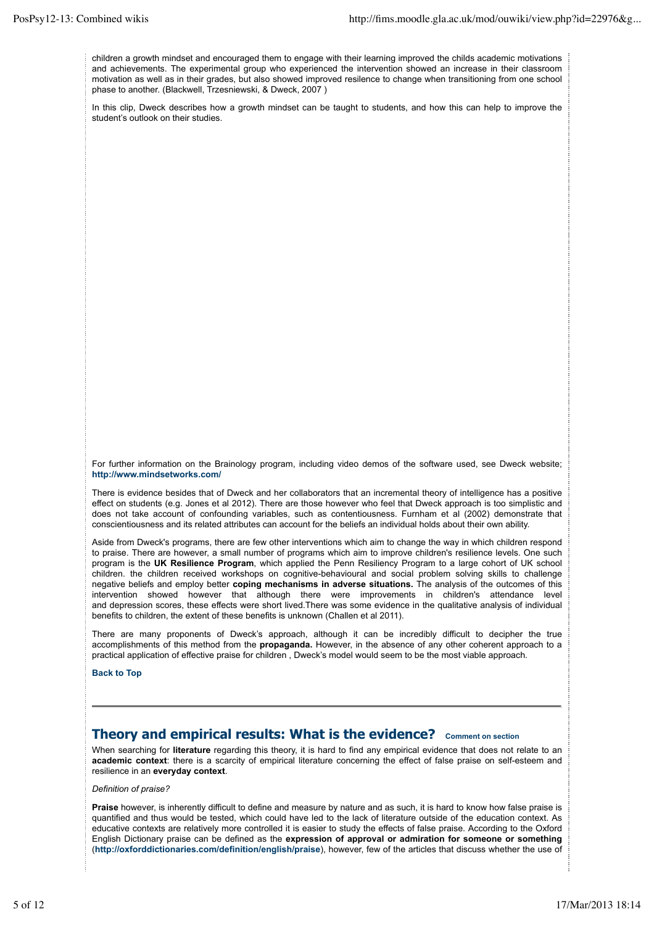children a growth mindset and encouraged them to engage with their learning improved the childs academic motivations and achievements. The experimental group who experienced the intervention showed an increase in their classroom motivation as well as in their grades, but also showed improved resilence to change when transitioning from one school phase to another. (Blackwell, Trzesniewski, & Dweck, 2007 )

In this clip, Dweck describes how a growth mindset can be taught to students, and how this can help to improve the student's outlook on their studies.

For further information on the Brainology program, including video demos of the software used, see Dweck website; **http://www.mindsetworks.com/**

There is evidence besides that of Dweck and her collaborators that an incremental theory of intelligence has a positive effect on students (e.g. Jones et al 2012). There are those however who feel that Dweck approach is too simplistic and does not take account of confounding variables, such as contentiousness. Furnham et al (2002) demonstrate that conscientiousness and its related attributes can account for the beliefs an individual holds about their own ability.

Aside from Dweck's programs, there are few other interventions which aim to change the way in which children respond to praise. There are however, a small number of programs which aim to improve children's resilience levels. One such program is the **UK Resilience Program**, which applied the Penn Resiliency Program to a large cohort of UK school children. the children received workshops on cognitive-behavioural and social problem solving skills to challenge negative beliefs and employ better **coping mechanisms in adverse situations.** The analysis of the outcomes of this intervention showed however that although there were improvements in children's attendance level and depression scores, these effects were short lived.There was some evidence in the qualitative analysis of individual benefits to children, the extent of these benefits is unknown (Challen et al 2011).

There are many proponents of Dweck's approach, although it can be incredibly difficult to decipher the true accomplishments of this method from the **propaganda.** However, in the absence of any other coherent approach to a practical application of effective praise for children , Dweck's model would seem to be the most viable approach.

**Back to Top**

### **Theory and empirical results: What is the evidence? Comment on section**

When searching for **literature** regarding this theory, it is hard to find any empirical evidence that does not relate to an **academic context**: there is a scarcity of empirical literature concerning the effect of false praise on self-esteem and resilience in an **everyday context**.

*Definition of praise?*

**Praise** however, is inherently difficult to define and measure by nature and as such, it is hard to know how false praise is quantified and thus would be tested, which could have led to the lack of literature outside of the education context. As educative contexts are relatively more controlled it is easier to study the effects of false praise. According to the Oxford English Dictionary praise can be defined as the **expression of approval or admiration for someone or something** (**http://oxforddictionaries.com/definition/english/praise**), however, few of the articles that discuss whether the use of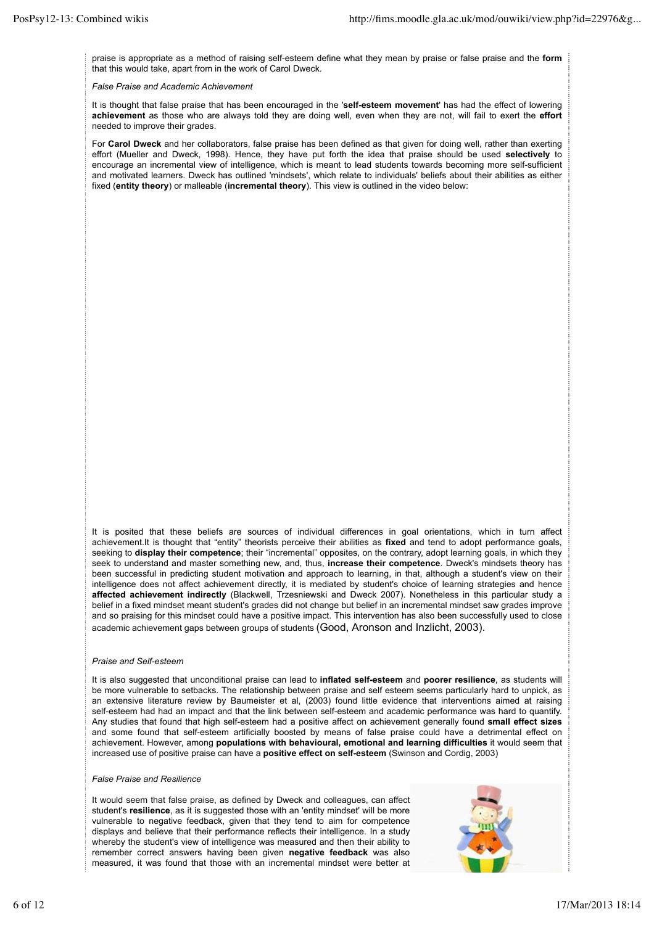praise is appropriate as a method of raising self-esteem define what they mean by praise or false praise and the **form** that this would take, apart from in the work of Carol Dweck.

#### *False Praise and Academic Achievement*

It is thought that false praise that has been encouraged in the '**self-esteem movement**' has had the effect of lowering **achievement** as those who are always told they are doing well, even when they are not, will fail to exert the **effort** needed to improve their grades.

For **Carol Dweck** and her collaborators, false praise has been defined as that given for doing well, rather than exerting effort (Mueller and Dweck, 1998). Hence, they have put forth the idea that praise should be used **selectively** to encourage an incremental view of intelligence, which is meant to lead students towards becoming more self-sufficient and motivated learners. Dweck has outlined 'mindsets', which relate to individuals' beliefs about their abilities as either fixed (**entity theory**) or malleable (**incremental theory**). This view is outlined in the video below:

It is posited that these beliefs are sources of individual differences in goal orientations, which in turn affect achievement.It is thought that "entity" theorists perceive their abilities as **fixed** and tend to adopt performance goals, seeking to **display their competence**; their "incremental" opposites, on the contrary, adopt learning goals, in which they seek to understand and master something new, and, thus, **increase their competence**. Dweck's mindsets theory has been successful in predicting student motivation and approach to learning, in that, although a student's view on their intelligence does not affect achievement directly, it is mediated by student's choice of learning strategies and hence **affected achievement indirectly** (Blackwell, Trzesniewski and Dweck 2007). Nonetheless in this particular study a belief in a fixed mindset meant student's grades did not change but belief in an incremental mindset saw grades improve and so praising for this mindset could have a positive impact. This intervention has also been successfully used to close academic achievement gaps between groups of students (Good, Aronson and Inzlicht, 2003).

#### *Praise and Self-esteem*

It is also suggested that unconditional praise can lead to **inflated self-esteem** and **poorer resilience**, as students will be more vulnerable to setbacks. The relationship between praise and self esteem seems particularly hard to unpick, as an extensive literature review by Baumeister et al, (2003) found little evidence that interventions aimed at raising self-esteem had had an impact and that the link between self-esteem and academic performance was hard to quantify. Any studies that found that high self-esteem had a positive affect on achievement generally found **small effect sizes** and some found that self-esteem artificially boosted by means of false praise could have a detrimental effect on achievement. However, among **populations with behavioural, emotional and learning difficulties** it would seem that increased use of positive praise can have a **positive effect on self-esteem** (Swinson and Cordig, 2003)

#### *False Praise and Resilience*

It would seem that false praise, as defined by Dweck and colleagues, can affect student's **resilience**, as it is suggested those with an 'entity mindset' will be more vulnerable to negative feedback, given that they tend to aim for competence displays and believe that their performance reflects their intelligence. In a study whereby the student's view of intelligence was measured and then their ability to remember correct answers having been given **negative feedback** was also measured, it was found that those with an incremental mindset were better at

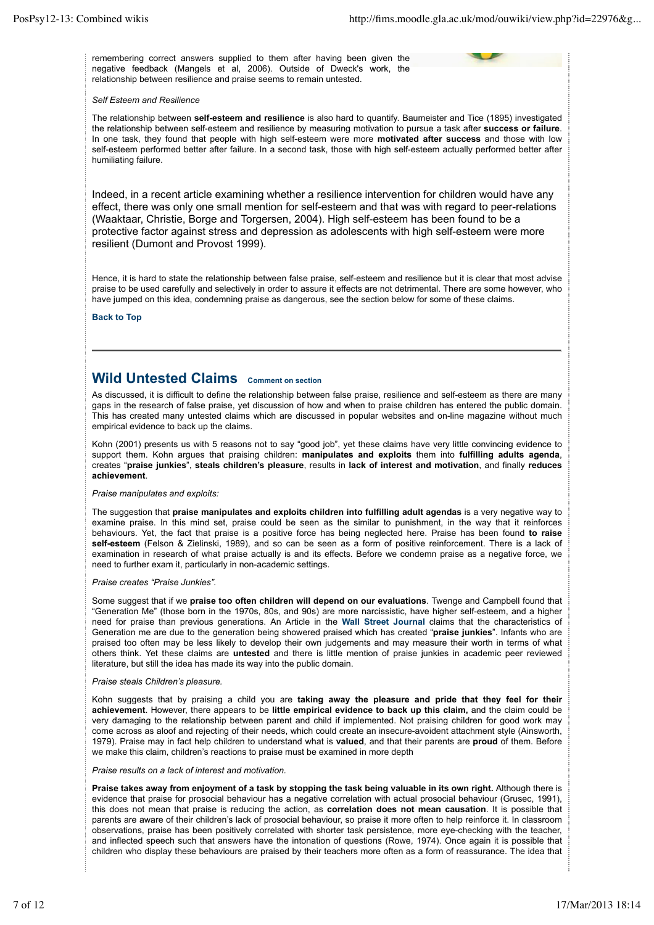remembering correct answers supplied to them after having been given the negative feedback (Mangels et al, 2006). Outside of Dweck's work, the relationship between resilience and praise seems to remain untested.

#### *Self Esteem and Resilience*

The relationship between **self-esteem and resilience** is also hard to quantify. Baumeister and Tice (1895) investigated the relationship between self-esteem and resilience by measuring motivation to pursue a task after **success or failure**. In one task, they found that people with high self-esteem were more **motivated after success** and those with low self-esteem performed better after failure. In a second task, those with high self-esteem actually performed better after humiliating failure.

Indeed, in a recent article examining whether a resilience intervention for children would have any effect, there was only one small mention for self-esteem and that was with regard to peer-relations (Waaktaar, Christie, Borge and Torgersen, 2004). High self-esteem has been found to be a protective factor against stress and depression as adolescents with high self-esteem were more resilient (Dumont and Provost 1999).

Hence, it is hard to state the relationship between false praise, self-esteem and resilience but it is clear that most advise praise to be used carefully and selectively in order to assure it effects are not detrimental. There are some however, who have jumped on this idea, condemning praise as dangerous, see the section below for some of these claims.

**Back to Top**

# **Wild Untested Claims Comment on section**

As discussed, it is difficult to define the relationship between false praise, resilience and self-esteem as there are many gaps in the research of false praise, yet discussion of how and when to praise children has entered the public domain. This has created many untested claims which are discussed in popular websites and on-line magazine without much empirical evidence to back up the claims.

Kohn (2001) presents us with 5 reasons not to say "good job", yet these claims have very little convincing evidence to support them. Kohn argues that praising children: **manipulates and exploits** them into **fulfilling adults agenda**, creates "**praise junkies**", **steals children's pleasure**, results in **lack of interest and motivation**, and finally **reduces achievement**.

#### *Praise manipulates and exploits:*

The suggestion that **praise manipulates and exploits children into fulfilling adult agendas** is a very negative way to examine praise. In this mind set, praise could be seen as the similar to punishment, in the way that it reinforces behaviours. Yet, the fact that praise is a positive force has being neglected here. Praise has been found **to raise self-esteem** (Felson & Zielinski, 1989), and so can be seen as a form of positive reinforcement. There is a lack of examination in research of what praise actually is and its effects. Before we condemn praise as a negative force, we need to further exam it, particularly in non-academic settings.

#### *Praise creates "Praise Junkies".*

Some suggest that if we **praise too often children will depend on our evaluations**. Twenge and Campbell found that "Generation Me" (those born in the 1970s, 80s, and 90s) are more narcissistic, have higher self-esteem, and a higher need for praise than previous generations. An Article in the **Wall Street Journal** claims that the characteristics of Generation me are due to the generation being showered praised which has created "**praise junkies**". Infants who are praised too often may be less likely to develop their own judgements and may measure their worth in terms of what others think. Yet these claims are **untested** and there is little mention of praise junkies in academic peer reviewed literature, but still the idea has made its way into the public domain.

#### *Praise steals Children's pleasure.*

Kohn suggests that by praising a child you are **taking away the pleasure and pride that they feel for their achievement**. However, there appears to be **little empirical evidence to back up this claim,** and the claim could be very damaging to the relationship between parent and child if implemented. Not praising children for good work may come across as aloof and rejecting of their needs, which could create an insecure-avoident attachment style (Ainsworth, 1979). Praise may in fact help children to understand what is **valued**, and that their parents are **proud** of them. Before we make this claim, children's reactions to praise must be examined in more depth

*Praise results on a lack of interest and motivation.*

**Praise takes away from enjoyment of a task by stopping the task being valuable in its own right.** Although there is evidence that praise for prosocial behaviour has a negative correlation with actual prosocial behaviour (Grusec, 1991), this does not mean that praise is reducing the action, as **correlation does not mean causation**. It is possible that parents are aware of their children's lack of prosocial behaviour, so praise it more often to help reinforce it. In classroom observations, praise has been positively correlated with shorter task persistence, more eye-checking with the teacher, and inflected speech such that answers have the intonation of questions (Rowe, 1974). Once again it is possible that children who display these behaviours are praised by their teachers more often as a form of reassurance. The idea that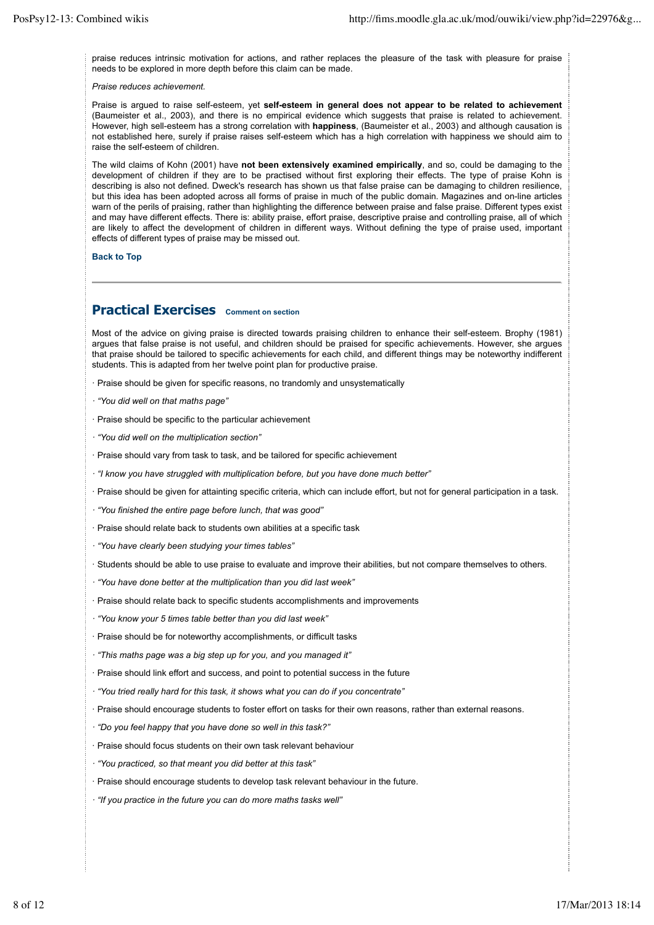praise reduces intrinsic motivation for actions, and rather replaces the pleasure of the task with pleasure for praise needs to be explored in more depth before this claim can be made.

*Praise reduces achievement.*

Praise is argued to raise self-esteem, yet **self-esteem in general does not appear to be related to achievement** (Baumeister et al., 2003), and there is no empirical evidence which suggests that praise is related to achievement. However, high sell-esteem has a strong correlation with **happiness**, (Baumeister et al., 2003) and although causation is not established here, surely if praise raises self-esteem which has a high correlation with happiness we should aim to raise the self-esteem of children.

The wild claims of Kohn (2001) have **not been extensively examined empirically**, and so, could be damaging to the development of children if they are to be practised without first exploring their effects. The type of praise Kohn is describing is also not defined. Dweck's research has shown us that false praise can be damaging to children resilience, but this idea has been adopted across all forms of praise in much of the public domain. Magazines and on-line articles warn of the perils of praising, rather than highlighting the difference between praise and false praise. Different types exist and may have different effects. There is: ability praise, effort praise, descriptive praise and controlling praise, all of which are likely to affect the development of children in different ways. Without defining the type of praise used, important effects of different types of praise may be missed out.

**Back to Top**

# **Practical Exercises Comment on section**

Most of the advice on giving praise is directed towards praising children to enhance their self-esteem. Brophy (1981) argues that false praise is not useful, and children should be praised for specific achievements. However, she argues that praise should be tailored to specific achievements for each child, and different things may be noteworthy indifferent students. This is adapted from her twelve point plan for productive praise.

· Praise should be given for specific reasons, no trandomly and unsystematically

*· "You did well on that maths page"*

· Praise should be specific to the particular achievement

*· "You did well on the multiplication section"*

· Praise should vary from task to task, and be tailored for specific achievement

*· "I know you have struggled with multiplication before, but you have done much better"*

· Praise should be given for attainting specific criteria, which can include effort, but not for general participation in a task.

*· "You finished the entire page before lunch, that was good"*

· Praise should relate back to students own abilities at a specific task

*· "You have clearly been studying your times tables"*

· Students should be able to use praise to evaluate and improve their abilities, but not compare themselves to others.

*· "You have done better at the multiplication than you did last week"*

· Praise should relate back to specific students accomplishments and improvements

*· "You know your 5 times table better than you did last week"*

· Praise should be for noteworthy accomplishments, or difficult tasks

*· "This maths page was a big step up for you, and you managed it"*

· Praise should link effort and success, and point to potential success in the future

*· "You tried really hard for this task, it shows what you can do if you concentrate"*

· Praise should encourage students to foster effort on tasks for their own reasons, rather than external reasons.

*· "Do you feel happy that you have done so well in this task?"*

· Praise should focus students on their own task relevant behaviour

*· "You practiced, so that meant you did better at this task"*

· Praise should encourage students to develop task relevant behaviour in the future.

*· "If you practice in the future you can do more maths tasks well"*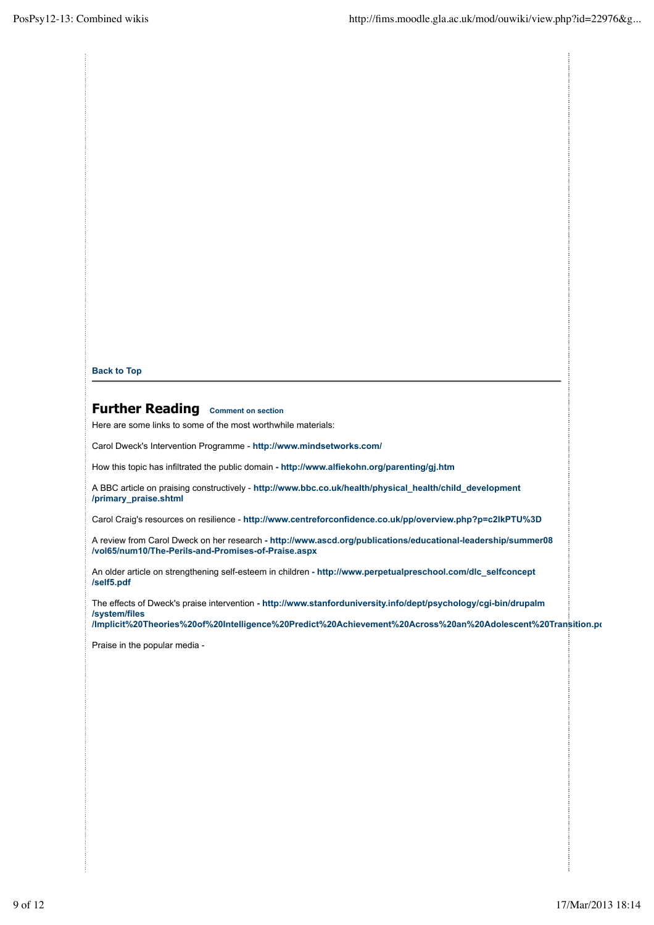**Back to Top**

# **Further Reading Comment on section**

Here are some links to some of the most worthwhile materials:

Carol Dweck's Intervention Programme - **http://www.mindsetworks.com/**

How this topic has infiltrated the public domain **- http://www.alfiekohn.org/parenting/gj.htm**

A BBC article on praising constructively - **http://www.bbc.co.uk/health/physical\_health/child\_development /primary\_praise.shtml**

Carol Craig's resources on resilience - **http://www.centreforconfidence.co.uk/pp/overview.php?p=c2lkPTU%3D**

A review from Carol Dweck on her research **- http://www.ascd.org/publications/educational-leadership/summer08 /vol65/num10/The-Perils-and-Promises-of-Praise.aspx**

An older article on strengthening self-esteem in children **- http://www.perpetualpreschool.com/dlc\_selfconcept /self5.pdf**

The effects of Dweck's praise intervention **- http://www.stanforduniversity.info/dept/psychology/cgi-bin/drupalm /system/files**

**/Implicit%20Theories%20of%20Intelligence%20Predict%20Achievement%20Across%20an%20Adolescent%20Transition.pdf**

Praise in the popular media -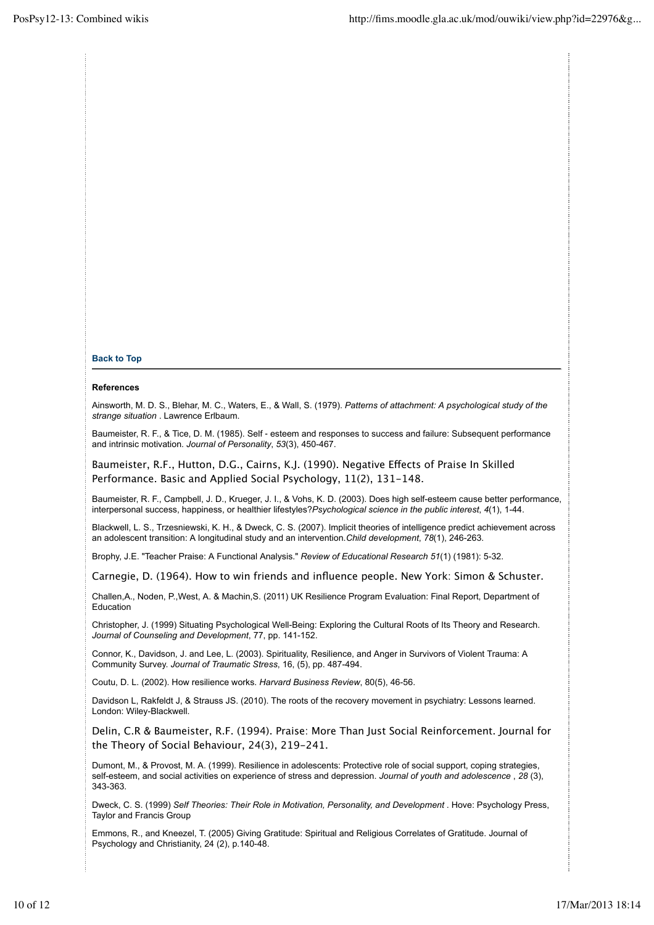#### **Back to Top**

#### **References**

Ainsworth, M. D. S., Blehar, M. C., Waters, E., & Wall, S. (1979). *Patterns of attachment: A psychological study of the strange situation* . Lawrence Erlbaum.

Baumeister, R. F., & Tice, D. M. (1985). Self ‐ esteem and responses to success and failure: Subsequent performance and intrinsic motivation. *Journal of Personality*, *53*(3), 450-467.

Baumeister, R.F., Hutton, D.G., Cairns, K.J. (1990). Negative Effects of Praise In Skilled Performance. Basic and Applied Social Psychology, 11(2), 131-148.

Baumeister, R. F., Campbell, J. D., Krueger, J. I., & Vohs, K. D. (2003). Does high self-esteem cause better performance, interpersonal success, happiness, or healthier lifestyles?*Psychological science in the public interest*, *4*(1), 1-44.

Blackwell, L. S., Trzesniewski, K. H., & Dweck, C. S. (2007). Implicit theories of intelligence predict achievement across an adolescent transition: A longitudinal study and an intervention.*Child development*, *78*(1), 246-263.

Brophy, J.E. "Teacher Praise: A Functional Analysis." *Review of Educational Research 51*(1) (1981): 5-32.

Carnegie, D. (1964). How to win friends and influence people. New York: Simon & Schuster.

Challen,A., Noden, P.,West, A. & Machin,S. (2011) UK Resilience Program Evaluation: Final Report, Department of Education

Christopher, J. (1999) Situating Psychological Well-Being: Exploring the Cultural Roots of Its Theory and Research. *Journal of Counseling and Development*, 77, pp. 141-152.

Connor, K., Davidson, J. and Lee, L. (2003). Spirituality, Resilience, and Anger in Survivors of Violent Trauma: A Community Survey. *Journal of Traumatic Stress*, 16, (5), pp. 487-494.

Coutu, D. L. (2002). How resilience works. *Harvard Business Review*, 80(5), 46-56.

Davidson L, Rakfeldt J, & Strauss JS. (2010). The roots of the recovery movement in psychiatry: Lessons learned. London: Wiley-Blackwell.

Delin, C.R & Baumeister, R.F. (1994). Praise: More Than Just Social Reinforcement. Journal for the Theory of Social Behaviour, 24(3), 219-241.

Dumont, M., & Provost, M. A. (1999). Resilience in adolescents: Protective role of social support, coping strategies, self-esteem, and social activities on experience of stress and depression. *Journal of youth and adolescence* , *28* (3), 343-363.

Dweck, C. S. (1999) *Self Theories: Their Role in Motivation, Personality, and Development .* Hove: Psychology Press, Taylor and Francis Group

Emmons, R., and Kneezel, T. (2005) Giving Gratitude: Spiritual and Religious Correlates of Gratitude. Journal of Psychology and Christianity, 24 (2), p.140-48.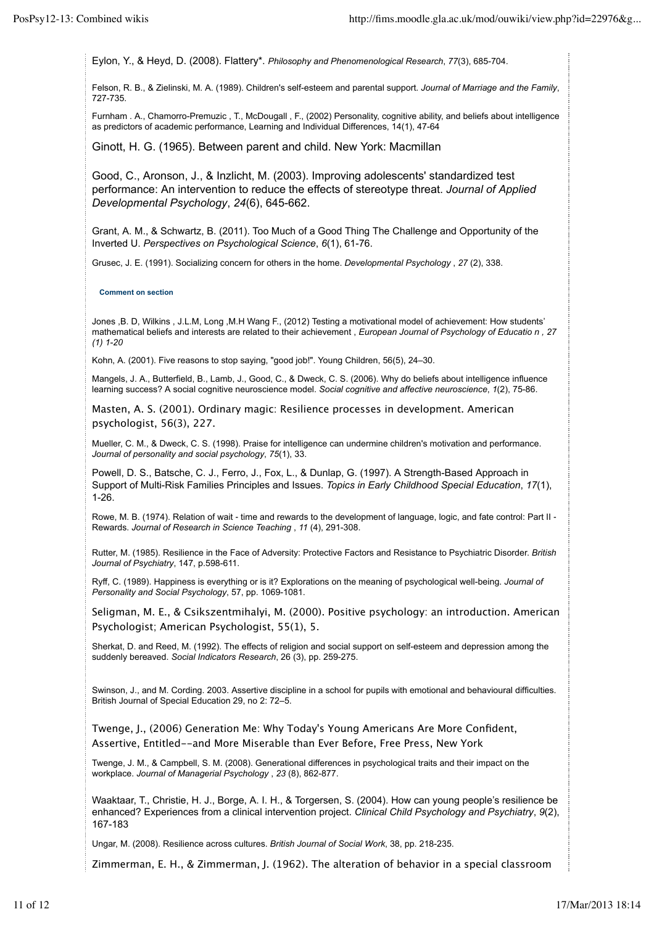Eylon, Y., & Heyd, D. (2008). Flattery\*. *Philosophy and Phenomenological Research*, *77*(3), 685-704.

Felson, R. B., & Zielinski, M. A. (1989). Children's self-esteem and parental support. *Journal of Marriage and the Family*, 727-735.

Furnham . A., Chamorro-Premuzic , T., McDougall , F., (2002) Personality, cognitive ability, and beliefs about intelligence as predictors of academic performance, Learning and Individual Differences, 14(1), 47-64

Ginott, H. G. (1965). Between parent and child. New York: Macmillan

Good, C., Aronson, J., & Inzlicht, M. (2003). Improving adolescents' standardized test performance: An intervention to reduce the effects of stereotype threat. *Journal of Applied Developmental Psychology*, *24*(6), 645-662.

Grant, A. M., & Schwartz, B. (2011). Too Much of a Good Thing The Challenge and Opportunity of the Inverted U. *Perspectives on Psychological Science*, *6*(1), 61-76.

Grusec, J. E. (1991). Socializing concern for others in the home. *Developmental Psychology* , *27* (2), 338.

**Comment on section**

Jones ,B. D, Wilkins , J.L.M, Long ,M.H Wang F., (2012) Testing a motivational model of achievement: How students' mathematical beliefs and interests are related to their achievement , *European Journal of Psychology of Educatio n , 27 (1) 1-20*

Kohn, A. (2001). Five reasons to stop saying, "good job!". Young Children, 56(5), 24–30.

Mangels, J. A., Butterfield, B., Lamb, J., Good, C., & Dweck, C. S. (2006). Why do beliefs about intelligence influence learning success? A social cognitive neuroscience model. *Social cognitive and affective neuroscience*, *1*(2), 75-86.

Masten, A. S. (2001). Ordinary magic: Resilience processes in development. American psychologist, 56(3), 227.

Mueller, C. M., & Dweck, C. S. (1998). Praise for intelligence can undermine children's motivation and performance. *Journal of personality and social psychology*, *75*(1), 33.

Powell, D. S., Batsche, C. J., Ferro, J., Fox, L., & Dunlap, G. (1997). A Strength-Based Approach in Support of Multi-Risk Families Principles and Issues. *Topics in Early Childhood Special Education*, *17*(1), 1-26.

Rowe, M. B. (1974). Relation of wait - time and rewards to the development of language, logic, and fate control: Part II -Rewards. *Journal of Research in Science Teaching* , *11* (4), 291-308.

Rutter, M. (1985). Resilience in the Face of Adversity: Protective Factors and Resistance to Psychiatric Disorder. *British Journal of Psychiatry*, 147, p.598-611.

Ryff, C. (1989). Happiness is everything or is it? Explorations on the meaning of psychological well-being. *Journal of Personality and Social Psychology*, 57, pp. 1069-1081.

Seligman, M. E., & Csikszentmihalyi, M. (2000). Positive psychology: an introduction. American Psychologist; American Psychologist, 55(1), 5.

Sherkat, D. and Reed, M. (1992). The effects of religion and social support on self-esteem and depression among the suddenly bereaved. *Social Indicators Research*, 26 (3), pp. 259-275.

Swinson, J., and M. Cording. 2003. Assertive discipline in a school for pupils with emotional and behavioural difficulties. British Journal of Special Education 29, no 2: 72–5.

Twenge, J., (2006) Generation Me: Why Today's Young Americans Are More Confident, Assertive, Entitled--and More Miserable than Ever Before, Free Press, New York

Twenge, J. M., & Campbell, S. M. (2008). Generational differences in psychological traits and their impact on the workplace. *Journal of Managerial Psychology* , *23* (8), 862-877.

Waaktaar, T., Christie, H. J., Borge, A. I. H., & Torgersen, S. (2004). How can young people's resilience be enhanced? Experiences from a clinical intervention project. *Clinical Child Psychology and Psychiatry*, *9*(2), 167-183

Ungar, M. (2008). Resilience across cultures. *British Journal of Social Work*, 38, pp. 218-235.

Zimmerman, E. H., & Zimmerman, J. (1962). The alteration of behavior in a special classroom